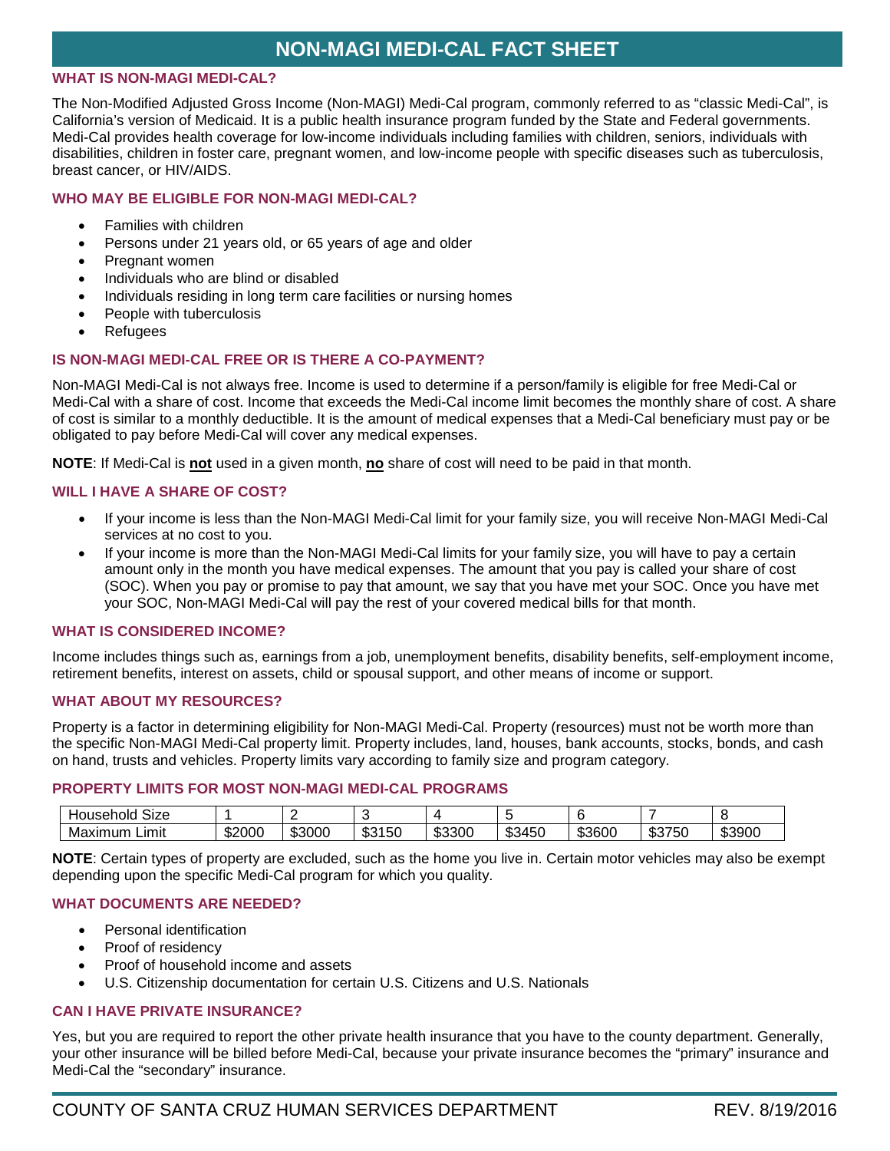# **NON-MAGI MEDI-CAL FACT SHEET**

#### **WHAT IS NON-MAGI MEDI-CAL?**

The Non-Modified Adjusted Gross Income (Non-MAGI) Medi-Cal program, commonly referred to as "classic Medi-Cal", is California's version of Medicaid. It is a public health insurance program funded by the State and Federal governments. Medi-Cal provides health coverage for low-income individuals including families with children, seniors, individuals with disabilities, children in foster care, pregnant women, and low-income people with specific diseases such as tuberculosis, breast cancer, or HIV/AIDS.

## **WHO MAY BE ELIGIBLE FOR NON-MAGI MEDI-CAL?**

- Families with children
- Persons under 21 years old, or 65 years of age and older
- Pregnant women
- Individuals who are blind or disabled
- Individuals residing in long term care facilities or nursing homes
- People with tuberculosis
- Refugees

# **IS NON-MAGI MEDI-CAL FREE OR IS THERE A CO-PAYMENT?**

Non-MAGI Medi-Cal is not always free. Income is used to determine if a person/family is eligible for free Medi-Cal or Medi-Cal with a share of cost. Income that exceeds the Medi-Cal income limit becomes the monthly share of cost. A share of cost is similar to a monthly deductible. It is the amount of medical expenses that a Medi-Cal beneficiary must pay or be obligated to pay before Medi-Cal will cover any medical expenses.

**NOTE**: If Medi-Cal is **not** used in a given month, **no** share of cost will need to be paid in that month.

## **WILL I HAVE A SHARE OF COST?**

- If your income is less than the Non-MAGI Medi-Cal limit for your family size, you will receive Non-MAGI Medi-Cal services at no cost to you.
- If your income is more than the Non-MAGI Medi-Cal limits for your family size, you will have to pay a certain amount only in the month you have medical expenses. The amount that you pay is called your share of cost (SOC). When you pay or promise to pay that amount, we say that you have met your SOC. Once you have met your SOC, Non-MAGI Medi-Cal will pay the rest of your covered medical bills for that month.

#### **WHAT IS CONSIDERED INCOME?**

Income includes things such as, earnings from a job, unemployment benefits, disability benefits, self-employment income, retirement benefits, interest on assets, child or spousal support, and other means of income or support.

#### **WHAT ABOUT MY RESOURCES?**

Property is a factor in determining eligibility for Non-MAGI Medi-Cal. Property (resources) must not be worth more than the specific Non-MAGI Medi-Cal property limit. Property includes, land, houses, bank accounts, stocks, bonds, and cash on hand, trusts and vehicles. Property limits vary according to family size and program category.

#### **PROPERTY LIMITS FOR MOST NON-MAGI MEDI-CAL PROGRAMS**

| $\sim$ $\sim$<br>Size<br>Household |        |        |                              |        |                       |        |                      |        |
|------------------------------------|--------|--------|------------------------------|--------|-----------------------|--------|----------------------|--------|
| Limit<br>Maximum                   | \$2000 | \$3000 | $1 - 2$<br>ጦጣ<br>15U<br>. കം | \$3300 | 345C<br>$\sim$<br>ູນພ | \$3600 | ぐつフェへ<br>ЮU<br>ം കാം | \$3900 |

**NOTE**: Certain types of property are excluded, such as the home you live in. Certain motor vehicles may also be exempt depending upon the specific Medi-Cal program for which you quality.

# **WHAT DOCUMENTS ARE NEEDED?**

- Personal identification
- Proof of residency
- Proof of household income and assets
- U.S. Citizenship documentation for certain U.S. Citizens and U.S. Nationals

# **CAN I HAVE PRIVATE INSURANCE?**

Yes, but you are required to report the other private health insurance that you have to the county department. Generally, your other insurance will be billed before Medi-Cal, because your private insurance becomes the "primary" insurance and Medi-Cal the "secondary" insurance.